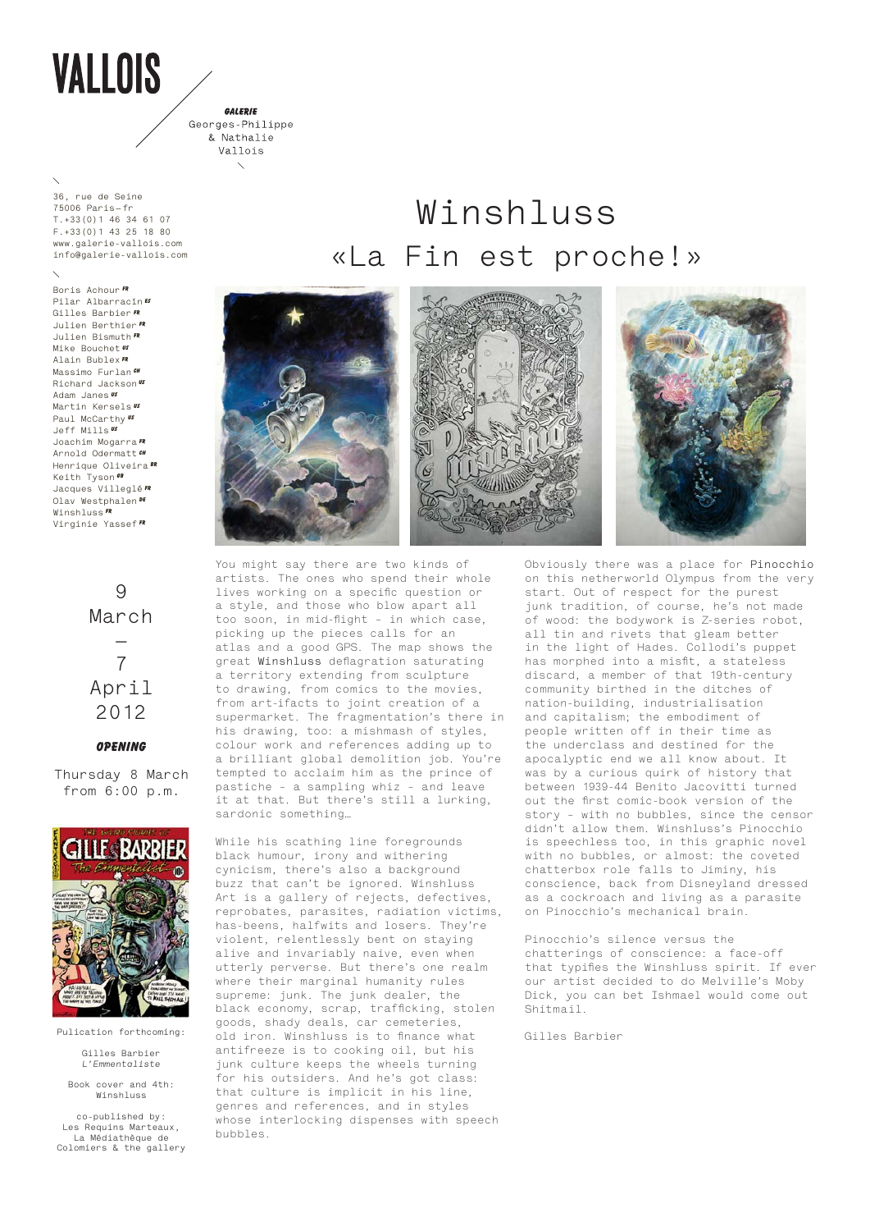# **VALLOIS**

GALERIE Georges-Philippe & Nathalie Vallois

**36, rue de Seine 75006 Paris — fr T.+33(0)1 46 34 61 07 F.+33(0)1 43 25 18 80 www.galerie-vallois.com info@galerie-vallois.com**

**Boris Achour Fr Pilar Albarracín es Gilles Barbier FR Julien Berthier FR Julien Bismuth FR Mike Bouchet US Alain Bublex FR Massimo Furlan CH Richard Jackson US Adam Janes US Martin Kersels US Paul McCarthy Us Jeff Mills US Joachim Mogarra FR Arnold Odermatt CH Henrique Oliveira BR**  $K$ eith Tyson<sup>6</sup> **Jacques Villeglé FR Olav Westphalen De Winshluss FR Virginie Yassef FR**

> **9 March — 7 April 2012**

### **Opening**

**Thursday 8 March from 6:00 p.m.**



**Pulication forthcoming:** 

**Gilles Barbier**  *L'Emmentaliste*

**Book cover and 4th: Winshluss**

**co-published by: Les Requins Marteaux, La Médiathèque de Colomiers & the gallery**

## **Winshluss «La Fin est proche!»**



You might say there are two kinds of artists. The ones who spend their whole lives working on a specific question or a style, and those who blow apart all too soon, in mid-flight – in which case, picking up the pieces calls for an atlas and a good GPS. The map shows the great **Winshluss** deflagration saturating a territory extending from sculpture to drawing, from comics to the movies, from art-ifacts to joint creation of a supermarket. The fragmentation's there in his drawing, too: a mishmash of styles, colour work and references adding up to a brilliant global demolition job. You're tempted to acclaim him as the prince of pastiche – a sampling whiz – and leave it at that. But there's still a lurking, sardonic something…

While his scathing line foregrounds black humour, irony and withering cynicism, there's also a background buzz that can't be ignored. Winshluss Art is a gallery of rejects, defectives, reprobates, parasites, radiation victims, has-beens, halfwits and losers. They're violent, relentlessly bent on staying alive and invariably naive, even when utterly perverse. But there's one realm where their marginal humanity rules supreme: junk. The junk dealer, the black economy, scrap, trafficking, stolen goods, shady deals, car cemeteries, old iron. Winshluss is to finance what antifreeze is to cooking oil, but his junk culture keeps the wheels turning for his outsiders. And he's got class: that culture is implicit in his line, genres and references, and in styles whose interlocking dispenses with speech bubbles.

Obviously there was a place for **Pinocchio** on this netherworld Olympus from the very start. Out of respect for the purest junk tradition, of course, he's not made of wood: the bodywork is Z-series robot, all tin and rivets that gleam better in the light of Hades. Collodi's puppet has morphed into a misfit, a stateless discard, a member of that 19th-century community birthed in the ditches of nation-building, industrialisation and capitalism; the embodiment of people written off in their time as the underclass and destined for the apocalyptic end we all know about. It was by a curious quirk of history that between 1939-44 Benito Jacovitti turned out the first comic-book version of the story – with no bubbles, since the censor didn't allow them. Winshluss's Pinocchio is speechless too, in this graphic novel with no bubbles, or almost: the coveted chatterbox role falls to Jiminy, his conscience, back from Disneyland dressed as a cockroach and living as a parasite on Pinocchio's mechanical brain.

Pinocchio's silence versus the chatterings of conscience: a face-off that typifies the Winshluss spirit. If ever our artist decided to do Melville's Moby Dick, you can bet Ishmael would come out Shitmail.

Gilles Barbier